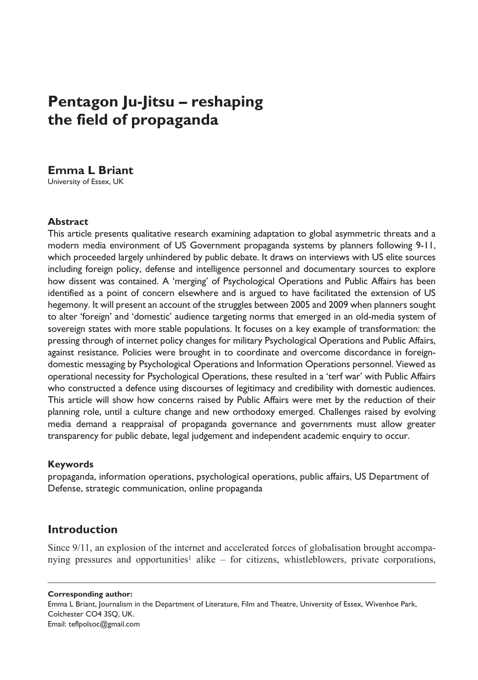# **Pentagon Ju-Jitsu – reshaping the field of propaganda**

**Emma L Briant**

University of Essex, UK

#### **Abstract**

This article presents qualitative research examining adaptation to global asymmetric threats and a modern media environment of US Government propaganda systems by planners following 9-11, which proceeded largely unhindered by public debate. It draws on interviews with US elite sources including foreign policy, defense and intelligence personnel and documentary sources to explore how dissent was contained. A 'merging' of Psychological Operations and Public Affairs has been identified as a point of concern elsewhere and is argued to have facilitated the extension of US hegemony. It will present an account of the struggles between 2005 and 2009 when planners sought to alter 'foreign' and 'domestic' audience targeting norms that emerged in an old-media system of sovereign states with more stable populations. It focuses on a key example of transformation: the pressing through of internet policy changes for military Psychological Operations and Public Affairs, against resistance. Policies were brought in to coordinate and overcome discordance in foreigndomestic messaging by Psychological Operations and Information Operations personnel. Viewed as operational necessity for Psychological Operations, these resulted in a 'terf war' with Public Affairs who constructed a defence using discourses of legitimacy and credibility with domestic audiences. This article will show how concerns raised by Public Affairs were met by the reduction of their planning role, until a culture change and new orthodoxy emerged. Challenges raised by evolving media demand a reappraisal of propaganda governance and governments must allow greater transparency for public debate, legal judgement and independent academic enquiry to occur.

#### **Keywords**

propaganda, information operations, psychological operations, public affairs, US Department of Defense, strategic communication, online propaganda

## **Introduction**

Since 9/11, an explosion of the internet and accelerated forces of globalisation brought accompanying pressures and opportunities<sup>1</sup> alike  $-$  for citizens, whistleblowers, private corporations,

**Corresponding author:** Emma L Briant, Journalism in the Department of Literature, Film and Theatre, University of Essex, Wivenhoe Park, Colchester CO4 3SQ, UK. Email: [teflpolsoc@gmail.com](mailto:teflpolsoc@gmail.com)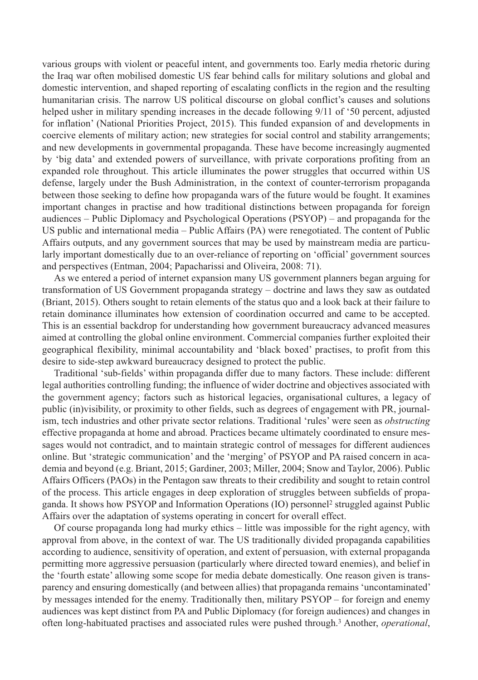various groups with violent or peaceful intent, and governments too. Early media rhetoric during the Iraq war often mobilised domestic US fear behind calls for military solutions and global and domestic intervention, and shaped reporting of escalating conflicts in the region and the resulting humanitarian crisis. The narrow US political discourse on global conflict's causes and solutions helped usher in military spending increases in the decade following 9/11 of '50 percent, adjusted for inflation' (National Priorities Project, 2015). This funded expansion of and developments in coercive elements of military action; new strategies for social control and stability arrangements; and new developments in governmental propaganda. These have become increasingly augmented by 'big data' and extended powers of surveillance, with private corporations profiting from an expanded role throughout. This article illuminates the power struggles that occurred within US defense, largely under the Bush Administration, in the context of counter-terrorism propaganda between those seeking to define how propaganda wars of the future would be fought. It examines important changes in practise and how traditional distinctions between propaganda for foreign audiences – Public Diplomacy and Psychological Operations (PSYOP) – and propaganda for the US public and international media – Public Affairs (PA) were renegotiated. The content of Public Affairs outputs, and any government sources that may be used by mainstream media are particularly important domestically due to an over-reliance of reporting on 'official' government sources and perspectives (Entman, 2004; Papacharissi and Oliveira, 2008: 71).

As we entered a period of internet expansion many US government planners began arguing for transformation of US Government propaganda strategy – doctrine and laws they saw as outdated (Briant, 2015). Others sought to retain elements of the status quo and a look back at their failure to retain dominance illuminates how extension of coordination occurred and came to be accepted. This is an essential backdrop for understanding how government bureaucracy advanced measures aimed at controlling the global online environment. Commercial companies further exploited their geographical flexibility, minimal accountability and 'black boxed' practises, to profit from this desire to side-step awkward bureaucracy designed to protect the public.

Traditional 'sub-fields' within propaganda differ due to many factors. These include: different legal authorities controlling funding; the influence of wider doctrine and objectives associated with the government agency; factors such as historical legacies, organisational cultures, a legacy of public (in)visibility, or proximity to other fields, such as degrees of engagement with PR, journalism, tech industries and other private sector relations. Traditional 'rules' were seen as *obstructing* effective propaganda at home and abroad. Practices became ultimately coordinated to ensure messages would not contradict, and to maintain strategic control of messages for different audiences online. But 'strategic communication' and the 'merging' of PSYOP and PA raised concern in academia and beyond (e.g. Briant, 2015; Gardiner, 2003; Miller, 2004; Snow and Taylor, 2006). Public Affairs Officers (PAOs) in the Pentagon saw threats to their credibility and sought to retain control of the process. This article engages in deep exploration of struggles between subfields of propaganda. It shows how PSYOP and Information Operations (IO) personnel2 struggled against Public Affairs over the adaptation of systems operating in concert for overall effect.

Of course propaganda long had murky ethics – little was impossible for the right agency, with approval from above, in the context of war. The US traditionally divided propaganda capabilities according to audience, sensitivity of operation, and extent of persuasion, with external propaganda permitting more aggressive persuasion (particularly where directed toward enemies), and belief in the 'fourth estate' allowing some scope for media debate domestically. One reason given is transparency and ensuring domestically (and between allies) that propaganda remains 'uncontaminated' by messages intended for the enemy. Traditionally then, military PSYOP – for foreign and enemy audiences was kept distinct from PA and Public Diplomacy (for foreign audiences) and changes in often long-habituated practises and associated rules were pushed through.3 Another, *operational*,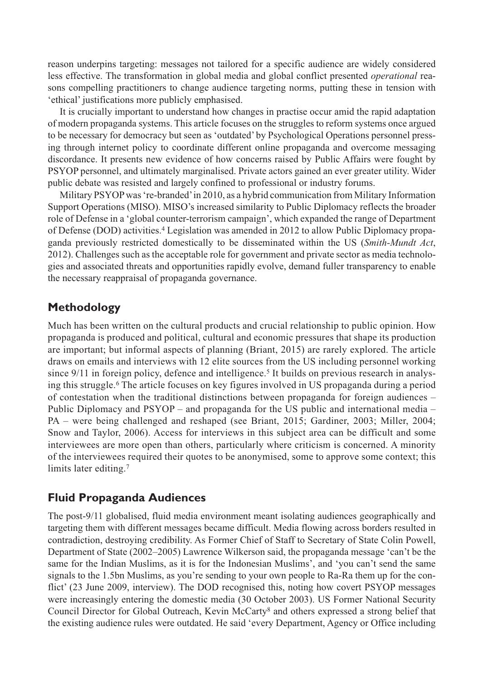reason underpins targeting: messages not tailored for a specific audience are widely considered less effective. The transformation in global media and global conflict presented *operational* reasons compelling practitioners to change audience targeting norms, putting these in tension with 'ethical' justifications more publicly emphasised.

It is crucially important to understand how changes in practise occur amid the rapid adaptation of modern propaganda systems. This article focuses on the struggles to reform systems once argued to be necessary for democracy but seen as 'outdated' by Psychological Operations personnel pressing through internet policy to coordinate different online propaganda and overcome messaging discordance. It presents new evidence of how concerns raised by Public Affairs were fought by PSYOP personnel, and ultimately marginalised. Private actors gained an ever greater utility. Wider public debate was resisted and largely confined to professional or industry forums.

Military PSYOP was 're-branded' in 2010, as a hybrid communication from Military Information Support Operations (MISO). MISO's increased similarity to Public Diplomacy reflects the broader role of Defense in a 'global counter-terrorism campaign', which expanded the range of Department of Defense (DOD) activities.4 Legislation was amended in 2012 to allow Public Diplomacy propaganda previously restricted domestically to be disseminated within the US (*Smith-Mundt Act*, 2012). Challenges such as the acceptable role for government and private sector as media technologies and associated threats and opportunities rapidly evolve, demand fuller transparency to enable the necessary reappraisal of propaganda governance.

## **Methodology**

Much has been written on the cultural products and crucial relationship to public opinion. How propaganda is produced and political, cultural and economic pressures that shape its production are important; but informal aspects of planning (Briant, 2015) are rarely explored. The article draws on emails and interviews with 12 elite sources from the US including personnel working since  $9/11$  in foreign policy, defence and intelligence.<sup>5</sup> It builds on previous research in analysing this struggle.6 The article focuses on key figures involved in US propaganda during a period of contestation when the traditional distinctions between propaganda for foreign audiences – Public Diplomacy and PSYOP – and propaganda for the US public and international media – PA – were being challenged and reshaped (see Briant, 2015; Gardiner, 2003; Miller, 2004; Snow and Taylor, 2006). Access for interviews in this subject area can be difficult and some interviewees are more open than others, particularly where criticism is concerned. A minority of the interviewees required their quotes to be anonymised, some to approve some context; this limits later editing.7

## **Fluid Propaganda Audiences**

The post-9/11 globalised, fluid media environment meant isolating audiences geographically and targeting them with different messages became difficult. Media flowing across borders resulted in contradiction, destroying credibility. As Former Chief of Staff to Secretary of State Colin Powell, Department of State (2002–2005) Lawrence Wilkerson said, the propaganda message 'can't be the same for the Indian Muslims, as it is for the Indonesian Muslims', and 'you can't send the same signals to the 1.5bn Muslims, as you're sending to your own people to Ra-Ra them up for the conflict' (23 June 2009, interview). The DOD recognised this, noting how covert PSYOP messages were increasingly entering the domestic media (30 October 2003). US Former National Security Council Director for Global Outreach, Kevin McCarty8 and others expressed a strong belief that the existing audience rules were outdated. He said 'every Department, Agency or Office including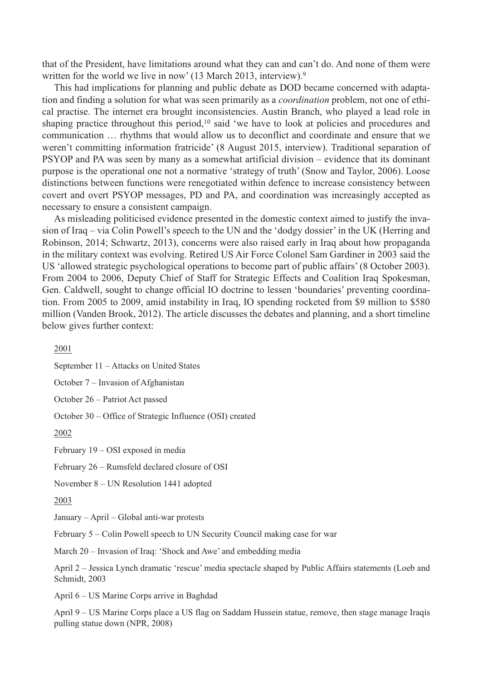that of the President, have limitations around what they can and can't do. And none of them were written for the world we live in now' (13 March 2013, interview).<sup>9</sup>

This had implications for planning and public debate as DOD became concerned with adaptation and finding a solution for what was seen primarily as a *coordination* problem, not one of ethical practise. The internet era brought inconsistencies. Austin Branch, who played a lead role in shaping practice throughout this period,<sup>10</sup> said 'we have to look at policies and procedures and communication … rhythms that would allow us to deconflict and coordinate and ensure that we weren't committing information fratricide' (8 August 2015, interview). Traditional separation of PSYOP and PA was seen by many as a somewhat artificial division – evidence that its dominant purpose is the operational one not a normative 'strategy of truth' (Snow and Taylor, 2006). Loose distinctions between functions were renegotiated within defence to increase consistency between covert and overt PSYOP messages, PD and PA, and coordination was increasingly accepted as necessary to ensure a consistent campaign.

As misleading politicised evidence presented in the domestic context aimed to justify the invasion of Iraq – via Colin Powell's speech to the UN and the 'dodgy dossier' in the UK (Herring and Robinson, 2014; Schwartz, 2013), concerns were also raised early in Iraq about how propaganda in the military context was evolving. Retired US Air Force Colonel Sam Gardiner in 2003 said the US 'allowed strategic psychological operations to become part of public affairs' (8 October 2003). From 2004 to 2006, Deputy Chief of Staff for Strategic Effects and Coalition Iraq Spokesman, Gen. Caldwell, sought to change official IO doctrine to lessen 'boundaries' preventing coordination. From 2005 to 2009, amid instability in Iraq, IO spending rocketed from \$9 million to \$580 million (Vanden Brook, 2012). The article discusses the debates and planning, and a short timeline below gives further context:

2001

September 11 – Attacks on United States

October 7 – Invasion of Afghanistan

October 26 – Patriot Act passed

October 30 – Office of Strategic Influence (OSI) created

2002

February 19 – OSI exposed in media

February 26 – Rumsfeld declared closure of OSI

November 8 – UN Resolution 1441 adopted

2003

January – April – Global anti-war protests

February 5 – Colin Powell speech to UN Security Council making case for war

March 20 – Invasion of Iraq: 'Shock and Awe' and embedding media

April 2 – Jessica Lynch dramatic 'rescue' media spectacle shaped by Public Affairs statements (Loeb and Schmidt, 200[3](#page--1-0)

April 6 – US Marine Corps arrive in Baghdad

April 9 – US Marine Corps place a US flag on Saddam Hussein statue, remove, then stage manage Iraqis pulling statue down (NPR, 2008)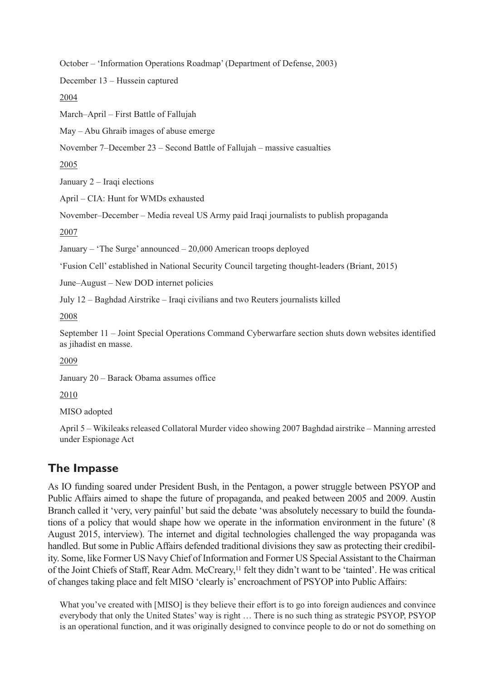October – 'Information Operations Roadmap' (Department of Defense, 2003)

December 13 – Hussein captured

2004

March–April – First Battle of Fallujah

May – Abu Ghraib images of abuse emerge

November 7–December 23 – Second Battle of Fallujah – massive casualties

2005

January 2 – Iraqi elections

April – CIA: Hunt for WMDs exhausted

November–December – Media reveal US Army paid Iraqi journalists to publish propaganda

2007

January – 'The Surge' announced – 20,000 American troops deployed

'Fusion Cell' established in National Security Council targeting thought-leaders (Briant, 2015)

June–August – New DOD internet policies

July 12 – Baghdad Airstrike – Iraqi civilians and two Reuters journalists killed

2008

September 11 – Joint Special Operations Command Cyberwarfare section shuts down websites identified as jihadist en masse.

2009

January 20 – Barack Obama assumes office

2010

MISO adopted

April 5 – Wikileaks released Collatoral Murder video showing 2007 Baghdad airstrike – Manning arrested under Espionage Act

## **The Impasse**

As IO funding soared under President Bush, in the Pentagon, a power struggle between PSYOP and Public Affairs aimed to shape the future of propaganda, and peaked between 2005 and 2009. Austin Branch called it 'very, very painful' but said the debate 'was absolutely necessary to build the foundations of a policy that would shape how we operate in the information environment in the future' (8 August 2015, interview). The internet and digital technologies challenged the way propaganda was handled. But some in Public Affairs defended traditional divisions they saw as protecting their credibility. Some, like Former US Navy Chief of Information and Former US Special Assistant to the Chairman of the Joint Chiefs of Staff, Rear Adm. McCreary,<sup>11</sup> felt they didn't want to be 'tainted'. He was critical of changes taking place and felt MISO 'clearly is' encroachment of PSYOP into Public Affairs:

What you've created with [MISO] is they believe their effort is to go into foreign audiences and convince everybody that only the United States' way is right … There is no such thing as strategic PSYOP, PSYOP is an operational function, and it was originally designed to convince people to do or not do something on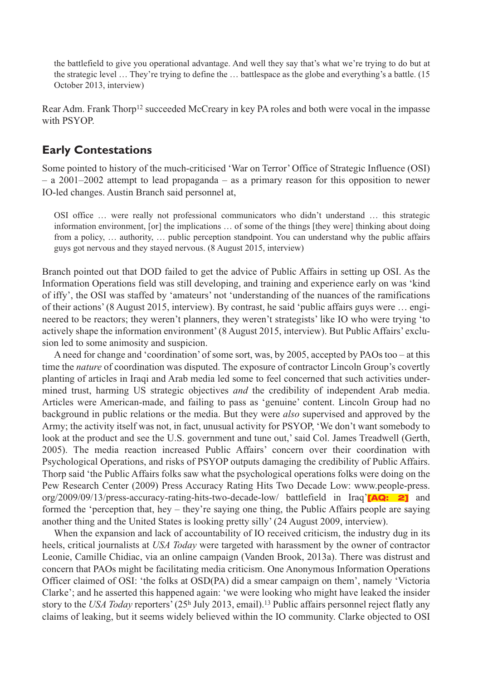the battlefield to give you operational advantage. And well they say that's what we're trying to do but at the strategic level … They're trying to define the … battlespace as the globe and everything's a battle. (15 October 2013, interview)

Rear Adm. Frank Thorp<sup>12</sup> succeeded McCreary in key PA roles and both were vocal in the impasse with PSYOP.

#### **Early Contestations**

Some pointed to history of the much-criticised 'War on Terror' Office of Strategic Influence (OSI) – a 2001–2002 attempt to lead propaganda – as a primary reason for this opposition to newer IO-led changes. Austin Branch said personnel at,

OSI office … were really not professional communicators who didn't understand … this strategic information environment, [or] the implications … of some of the things [they were] thinking about doing from a policy, … authority, … public perception standpoint. You can understand why the public affairs guys got nervous and they stayed nervous. (8 August 2015, interview)

Branch pointed out that DOD failed to get the advice of Public Affairs in setting up OSI. As the Information Operations field was still developing, and training and experience early on was 'kind of iffy', the OSI was staffed by 'amateurs' not 'understanding of the nuances of the ramifications of their actions' (8 August 2015, interview). By contrast, he said 'public affairs guys were … engineered to be reactors; they weren't planners, they weren't strategists' like IO who were trying 'to actively shape the information environment' (8 August 2015, interview). But Public Affairs' exclusion led to some animosity and suspicion.

A need for change and 'coordination' of some sort, was, by 2005, accepted by PAOs too – at this time the *nature* of coordination was disputed. The exposure of contractor Lincoln Group's covertly planting of articles in Iraqi and Arab media led some to feel concerned that such activities undermined trust, harming US strategic objectives *and* the credibility of independent Arab media. Articles were American-made, and failing to pass as 'genuine' content. Lincoln Group had no background in public relations or the media. But they were *also* supervised and approved by the Army; the activity itself was not, in fact, unusual activity for PSYOP, 'We don't want somebody to look at the product and see the U.S. government and tune out,' said Col. James Treadwell (Gerth, 2005). The media reaction increased Public Affairs' concern over their coordination with Psychological Operations, and risks of PSYOP outputs damaging the credibility of Public Affairs. Thorp said 'the Public Affairs folks saw what the psychological operations folks were doing on the Pew Research Center (2009) Press Accuracy Rating Hits Two Decade Low: [www.people-press.](www.people-press.org/2009/09/13/press-accuracy-rating-hits-two-decade-low/) [org/2009/09/13/press-accuracy-rating-hits-two-decade-low/](www.people-press.org/2009/09/13/press-accuracy-rating-hits-two-decade-low/) battlefield in Iraq' $[A\text{Q}: 2]$  and formed the 'perception that, hey – they're saying one thing, the Public Affairs people are saying another thing and the United States is looking pretty silly' (24 August 2009, interview).

When the expansion and lack of accountability of IO received criticism, the industry dug in its heels, critical journalists at *USA Today* were targeted with harassment by the owner of contractor Leonie, Camille Chidiac, via an online campaign (Vanden Brook, 2013a). There was distrust and concern that PAOs might be facilitating media criticism. One Anonymous Information Operations Officer claimed of OSI: 'the folks at OSD(PA) did a smear campaign on them', namely 'Victoria Clarke'; and he asserted this happened again: 'we were looking who might have leaked the insider story to the *USA Today* reporters' (25h July 2013, email).13 Public affairs personnel reject flatly any claims of leaking, but it seems widely believed within the IO community. Clarke objected to OSI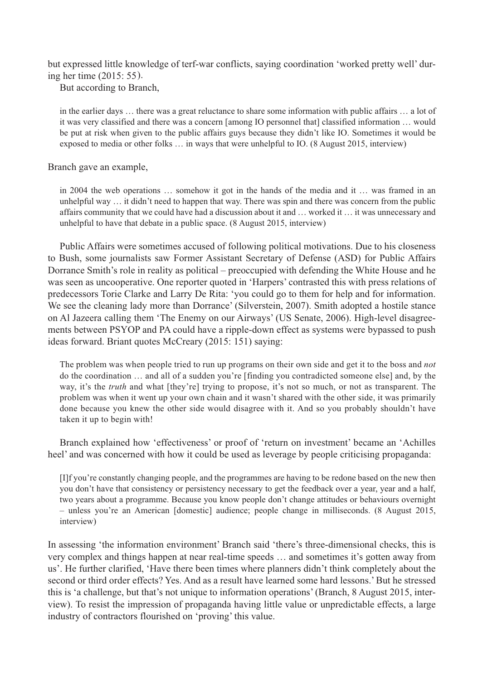but expressed little knowledge of terf-war conflicts, saying coordination 'worked pretty well' during her time (2015: 55 [\).](#page--1-2)

But according to Branch,

in the earlier days … there was a great reluctance to share some information with public affairs … a lot of it was very classified and there was a concern [among IO personnel that] classified information … would be put at risk when given to the public affairs guys because they didn't like IO. Sometimes it would be exposed to media or other folks … in ways that were unhelpful to IO. (8 August 2015, interview)

Branch gave an example,

in 2004 the web operations … somehow it got in the hands of the media and it … was framed in an unhelpful way … it didn't need to happen that way. There was spin and there was concern from the public affairs community that we could have had a discussion about it and … worked it … it was unnecessary and unhelpful to have that debate in a public space. (8 August 2015, interview)

Public Affairs were sometimes accused of following political motivations. Due to his closeness to Bush, some journalists saw Former Assistant Secretary of Defense (ASD) for Public Affairs Dorrance Smith's role in reality as political – preoccupied with defending the White House and he was seen as uncooperative. One reporter quoted in 'Harpers' contrasted this with press relations of predecessors Torie Clarke and Larry De Rita: 'you could go to them for help and for information. We see the cleaning lady more than Dorrance' (Silverstein, 2007). Smith adopted a hostile stance on Al Jazeera calling them 'The Enemy on our Airways' (US Senate, 2006). High-level disagreements between PSYOP and PA could have a ripple-down effect as systems were bypassed to push ideas forward. Briant quotes McCreary (2015: 151) saying:

The problem was when people tried to run up programs on their own side and get it to the boss and *not* do the coordination … and all of a sudden you're [finding you contradicted someone else] and, by the way, it's the *truth* and what [they're] trying to propose, it's not so much, or not as transparent. The problem was when it went up your own chain and it wasn't shared with the other side, it was primarily done because you knew the other side would disagree with it. And so you probably shouldn't have taken it up to begin with!

Branch explained how 'effectiveness' or proof of 'return on investment' became an 'Achilles heel' and was concerned with how it could be used as leverage by people criticising propaganda:

[I]f you're constantly changing people, and the programmes are having to be redone based on the new then you don't have that consistency or persistency necessary to get the feedback over a year, year and a half, two years about a programme. Because you know people don't change attitudes or behaviours overnight – unless you're an American [domestic] audience; people change in milliseconds. (8 August 2015, interview)

In assessing 'the information environment' Branch said 'there's three-dimensional checks, this is very complex and things happen at near real-time speeds … and sometimes it's gotten away from us'. He further clarified, 'Have there been times where planners didn't think completely about the second or third order effects? Yes. And as a result have learned some hard lessons.' But he stressed this is 'a challenge, but that's not unique to information operations' (Branch, 8 August 2015, interview). To resist the impression of propaganda having little value or unpredictable effects, a large industry of contractors flourished on 'proving' this value.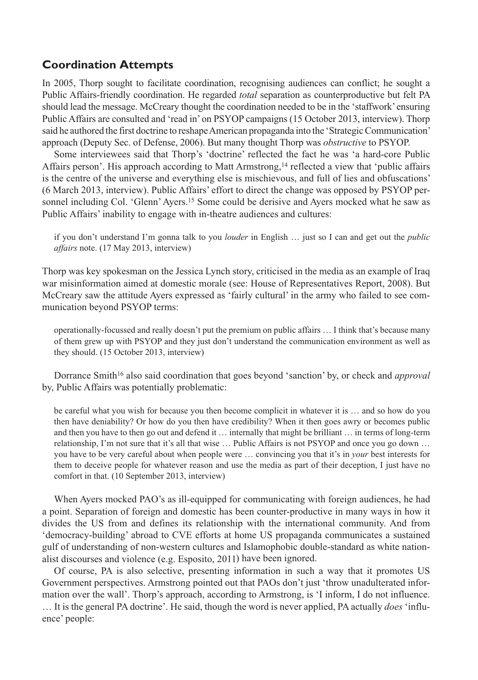## **Coordination Attempts**

In 2005, Thorp sought to facilitate coordination, recognising audiences can conflict; he sought a Public Affairs-friendly coordination. He regarded *total* separation as counterproductive but felt PA should lead the message. McCreary thought the coordination needed to be in the 'staffwork' ensuring Public Affairs are consulted and 'read in' on PSYOP campaigns (15 October 2013, interview). Thorp said he authored the first doctrine to reshape American propaganda into the 'Strategic Communication' approach (Deputy Sec. of Defense, 2006). But many thought Thorp was *obstructive* to PSYOP.

Some interviewees said that Thorp's 'doctrine' reflected the fact he was 'a hard-core Public Affairs person'. His approach according to Matt Armstrong,14 reflected a view that 'public affairs is the centre of the universe and everything else is mischievous, and full of lies and obfuscations' (6 March 2013, interview). Public Affairs' effort to direct the change was opposed by PSYOP personnel including Col. 'Glenn' Ayers.15 Some could be derisive and Ayers mocked what he saw as Public Affairs' inability to engage with in-theatre audiences and cultures:

if you don't understand I'm gonna talk to you *louder* in English … just so I can and get out the *public affairs* note. (17 May 2013, interview)

Thorp was key spokesman on the Jessica Lynch story, criticised in the media as an example of Iraq war misinformation aimed at domestic morale (see: House of Representatives Report, 2008). But McCreary saw the attitude Ayers expressed as 'fairly cultural' in the army who failed to see communication beyond PSYOP terms:

operationally-focussed and really doesn't put the premium on public affairs … I think that's because many of them grew up with PSYOP and they just don't understand the communication environment as well as they should. (15 October 2013, interview)

Dorrance Smith16 also said coordination that goes beyond 'sanction' by, or check and *approval* by, Public Affairs was potentially problematic:

be careful what you wish for because you then become complicit in whatever it is … and so how do you then have deniability? Or how do you then have credibility? When it then goes awry or becomes public and then you have to then go out and defend it … internally that might be brilliant … in terms of long-term relationship, I'm not sure that it's all that wise … Public Affairs is not PSYOP and once you go down … you have to be very careful about when people were … convincing you that it's in *your* best interests for them to deceive people for whatever reason and use the media as part of their deception, I just have no comfort in that. (10 September 2013, interview)

When Ayers mocked PAO's as ill-equipped for communicating with foreign audiences, he had a point. Separation of foreign and domestic has been counter-productive in many ways in how it divides the US from and defines its relationship with the international community. And from 'democracy-building' abroad to CVE efforts at home US propaganda communicates a sustained gulf of understanding of non-western cultures and Islamophobic double-standard as white nationalist discourses and violence (e.g. Esposito, 2011[\) have be](#page--1-3)en ignored.

Of course, PA is also selective, presenting information in such a way that it promotes US Government perspectives. Armstrong pointed out that PAOs don't just 'throw unadulterated information over the wall'. Thorp's approach, according to Armstrong, is 'I inform, I do not influence. … It is the general PA doctrine'. He said, though the word is never applied, PA actually *does* 'influence' people: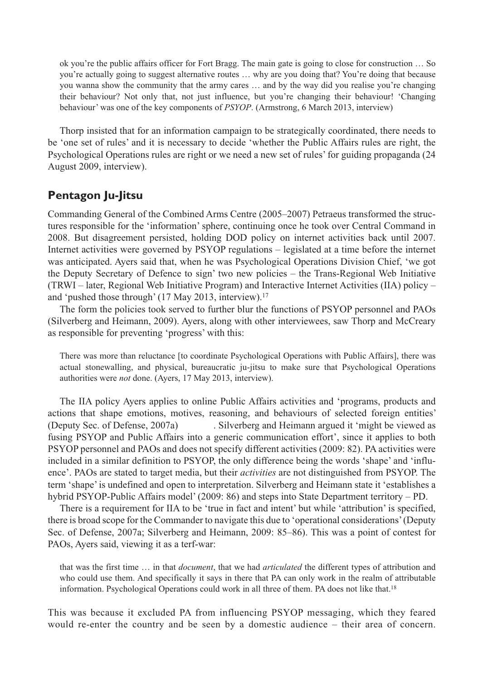ok you're the public affairs officer for Fort Bragg. The main gate is going to close for construction … So you're actually going to suggest alternative routes … why are you doing that? You're doing that because you wanna show the community that the army cares … and by the way did you realise you're changing their behaviour? Not only that, not just influence, but you're changing their behaviour! 'Changing behaviour' was one of the key components of *PSYOP*. (Armstrong, 6 March 2013, interview)

Thorp insisted that for an information campaign to be strategically coordinated, there needs to be 'one set of rules' and it is necessary to decide 'whether the Public Affairs rules are right, the Psychological Operations rules are right or we need a new set of rules' for guiding propaganda (24 August 2009, interview).

## **Pentagon Ju-Jitsu**

Commanding General of the Combined Arms Centre (2005–2007) Petraeus transformed the structures responsible for the 'information' sphere, continuing once he took over Central Command in 2008. But disagreement persisted, holding DOD policy on internet activities back until 2007. Internet activities were governed by PSYOP regulations – legislated at a time before the internet was anticipated. Ayers said that, when he was Psychological Operations Division Chief, 'we got the Deputy Secretary of Defence to sign' two new policies – the Trans-Regional Web Initiative (TRWI – later, Regional Web Initiative Program) and Interactive Internet Activities (IIA) policy – and 'pushed those through' (17 May 2013, interview).<sup>17</sup>

The form the policies took served to further blur the functions of PSYOP personnel and PAOs (Silverberg and Heimann, 2009). Ayers, along with other interviewees, saw Thorp and McCreary as responsible for preventing 'progress' with this:

There was more than reluctance [to coordinate Psychological Operations with Public Affairs], there was actual stonewalling, and physical, bureaucratic ju-jitsu to make sure that Psychological Operations authorities were *not* done. (Ayers, 17 May 2013, interview).

The IIA policy Ayers applies to online Public Affairs activities and 'programs, products and actions that shape emotions, motives, reasoning, and behaviours of selected foreign entities' (Deputy Sec. of Defense, 2007a) . Silverberg and Heimann argued it 'might be viewed as fusing PSYOP and Public Affairs into a generic communication effort', since it applies to both PSYOP personnel and PAOs and does not specify different activities (2009: 82). PA activities were included in a similar definition to PSYOP, the only difference being the words 'shape' and 'influence'. PAOs are stated to target media, but their *activities* are not distinguished from PSYOP. The term 'shape' is undefined and open to interpretation. Silverberg and Heimann state it 'establishes a hybrid PSYOP-Public Affairs model' (2009: 86) and steps into State Department territory – PD.

There is a requirement for IIA to be 'true in fact and intent' but while 'attribution' is specified, there is broad scope for the Commander to navigate this due to 'operational considerations' (Deputy Sec. of Defense, 2007a; Silverberg and Heimann, 2009: 85–86). This was a point of contest for PAOs, Ayers said, viewing it as a terf-war:

that was the first time … in that *document*, that we had *articulated* the different types of attribution and who could use them. And specifically it says in there that PA can only work in the realm of attributable information. Psychological Operations could work in all three of them. PA does not like that.<sup>18</sup>

This was because it excluded PA from influencing PSYOP messaging, which they feared would re-enter the country and be seen by a domestic audience – their area of concern.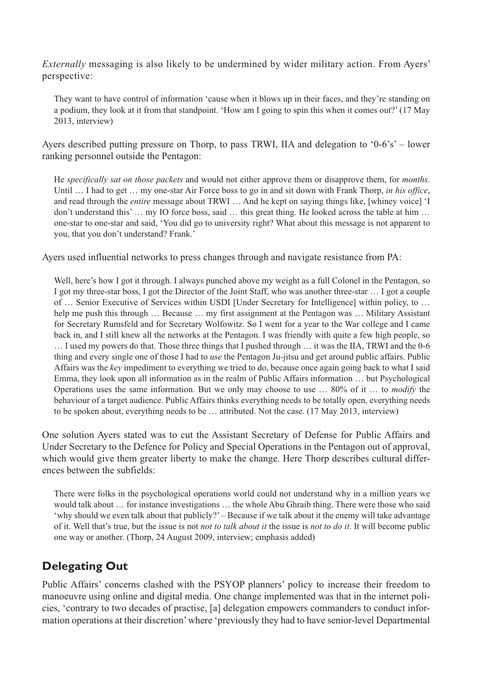*Externally* messaging is also likely to be undermined by wider military action. From Ayers' perspective:

They want to have control of information 'cause when it blows up in their faces, and they're standing on a podium, they look at it from that standpoint. 'How am I going to spin this when it comes out?' (17 May 2013, interview)

Ayers described putting pressure on Thorp, to pass TRWI, IIA and delegation to '0-6's' – lower ranking personnel outside the Pentagon:

He *specifically sat on those packets* and would not either approve them or disapprove them, for *months*. Until … I had to get … my one-star Air Force boss to go in and sit down with Frank Thorp, *in his office*, and read through the *entire* message about TRWI … And he kept on saying things like, [whiney voice] 'I don't understand this' ... my IO force boss, said ... this great thing. He looked across the table at him ... one-star to one-star and said, 'You did go to university right? What about this message is not apparent to you, that you don't understand? Frank.'

Ayers used influential networks to press changes through and navigate resistance from PA:

Well, here's how I got it through. I always punched above my weight as a full Colonel in the Pentagon, so I got my three-star boss, I got the Director of the Joint Staff, who was another three-star … I got a couple of … Senior Executive of Services within USDI [Under Secretary for Intelligence] within policy, to … help me push this through ... Because ... my first assignment at the Pentagon was ... Military Assistant for Secretary Rumsfeld and for Secretary Wolfowitz. So I went for a year to the War college and I came back in, and I still knew all the networks at the Pentagon. I was friendly with quite a few high people, so … I used my powers do that. Those three things that I pushed through … it was the IIA, TRWI and the 0-6 thing and every single one of those I had to *use* the Pentagon Ju-jitsu and get around public affairs. Public Affairs was the *key* impediment to everything we tried to do, because once again going back to what I said Emma, they look upon all information as in the realm of Public Affairs information … but Psychological Operations uses the same information. But we only may choose to use … 80% of it … to *modify* the behaviour of a target audience. Public Affairs thinks everything needs to be totally open, everything needs to be spoken about, everything needs to be … attributed. Not the case. (17 May 2013, interview)

One solution Ayers stated was to cut the Assistant Secretary of Defense for Public Affairs and Under Secretary to the Defence for Policy and Special Operations in the Pentagon out of approval, which would give them greater liberty to make the change. Here Thorp describes cultural differences between the subfields:

There were folks in the psychological operations world could not understand why in a million years we would talk about … for instance investigations … the whole Abu Ghraib thing. There were those who said 'why should we even talk about that publicly?' – Because if we talk about it the enemy will take advantage of it. Well that's true, but the issue is not *not to talk about it* the issue is *not to do it*. It will become public one way or another. (Thorp, 24 August 2009, interview; emphasis added)

## **Delegating Out**

Public Affairs' concerns clashed with the PSYOP planners' policy to increase their freedom to manoeuvre using online and digital media. One change implemented was that in the internet policies, 'contrary to two decades of practise, [a] delegation empowers commanders to conduct information operations at their discretion' where 'previously they had to have senior-level Departmental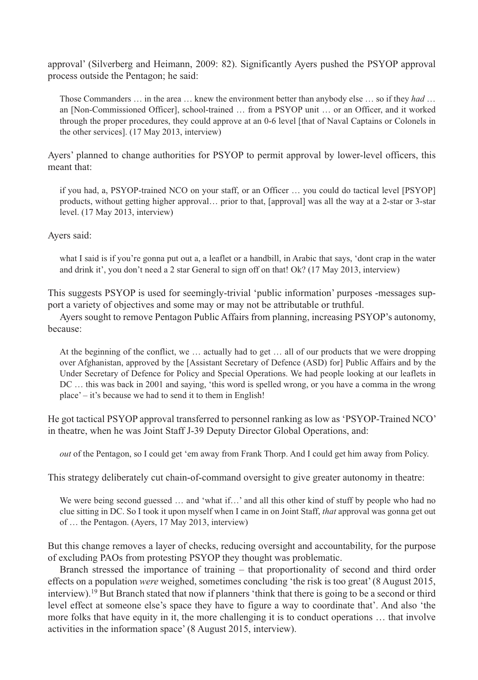approval' (Silverberg and Heimann, 2009: 82). Significantly Ayers pushed the PSYOP approval process outside the Pentagon; he said:

Those Commanders … in the area … knew the environment better than anybody else … so if they *had* … an [Non-Commissioned Officer], school-trained … from a PSYOP unit … or an Officer, and it worked through the proper procedures, they could approve at an 0-6 level [that of Naval Captains or Colonels in the other services]. (17 May 2013, interview)

Ayers' planned to change authorities for PSYOP to permit approval by lower-level officers, this meant that:

if you had, a, PSYOP-trained NCO on your staff, or an Officer … you could do tactical level [PSYOP] products, without getting higher approval… prior to that, [approval] was all the way at a 2-star or 3-star level. (17 May 2013, interview)

Ayers said:

what I said is if you're gonna put out a, a leaflet or a handbill, in Arabic that says, 'dont crap in the water and drink it', you don't need a 2 star General to sign off on that! Ok? (17 May 2013, interview)

This suggests PSYOP is used for seemingly-trivial 'public information' purposes -messages support a variety of objectives and some may or may not be attributable or truthful.

Ayers sought to remove Pentagon Public Affairs from planning, increasing PSYOP's autonomy, because:

At the beginning of the conflict, we … actually had to get … all of our products that we were dropping over Afghanistan, approved by the [Assistant Secretary of Defence (ASD) for] Public Affairs and by the Under Secretary of Defence for Policy and Special Operations. We had people looking at our leaflets in DC … this was back in 2001 and saying, 'this word is spelled wrong, or you have a comma in the wrong place' – it's because we had to send it to them in English!

He got tactical PSYOP approval transferred to personnel ranking as low as 'PSYOP-Trained NCO' in theatre, when he was Joint Staff J-39 Deputy Director Global Operations, and:

*out* of the Pentagon, so I could get 'em away from Frank Thorp. And I could get him away from Policy.

This strategy deliberately cut chain-of-command oversight to give greater autonomy in theatre:

We were being second guessed ... and 'what if...' and all this other kind of stuff by people who had no clue sitting in DC. So I took it upon myself when I came in on Joint Staff, *that* approval was gonna get out of … the Pentagon. (Ayers, 17 May 2013, interview)

But this change removes a layer of checks, reducing oversight and accountability, for the purpose of excluding PAOs from protesting PSYOP they thought was problematic.

Branch stressed the importance of training – that proportionality of second and third order effects on a population *were* weighed, sometimes concluding 'the risk is too great' (8 August 2015, interview).19 But Branch stated that now if planners 'think that there is going to be a second or third level effect at someone else's space they have to figure a way to coordinate that'. And also 'the more folks that have equity in it, the more challenging it is to conduct operations ... that involve activities in the information space' (8 August 2015, interview).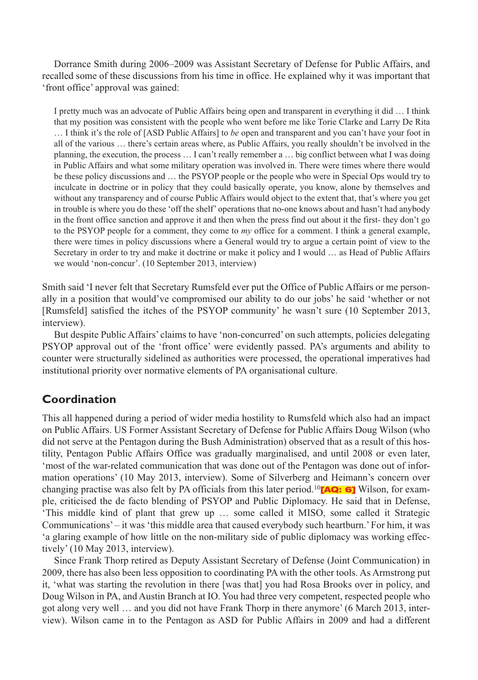Dorrance Smith during 2006–2009 was Assistant Secretary of Defense for Public Affairs, and recalled some of these discussions from his time in office. He explained why it was important that 'front office' approval was gained:

I pretty much was an advocate of Public Affairs being open and transparent in everything it did … I think that my position was consistent with the people who went before me like Torie Clarke and Larry De Rita … I think it's the role of [ASD Public Affairs] to *be* open and transparent and you can't have your foot in all of the various … there's certain areas where, as Public Affairs, you really shouldn't be involved in the planning, the execution, the process … I can't really remember a … big conflict between what I was doing in Public Affairs and what some military operation was involved in. There were times where there would be these policy discussions and … the PSYOP people or the people who were in Special Ops would try to inculcate in doctrine or in policy that they could basically operate, you know, alone by themselves and without any transparency and of course Public Affairs would object to the extent that, that's where you get in trouble is where you do these 'off the shelf' operations that no-one knows about and hasn't had anybody in the front office sanction and approve it and then when the press find out about it the first- they don't go to the PSYOP people for a comment, they come to *my* office for a comment. I think a general example, there were times in policy discussions where a General would try to argue a certain point of view to the Secretary in order to try and make it doctrine or make it policy and I would … as Head of Public Affairs we would 'non-concur'. (10 September 2013, interview)

Smith said 'I never felt that Secretary Rumsfeld ever put the Office of Public Affairs or me personally in a position that would've compromised our ability to do our jobs' he said 'whether or not [Rumsfeld] satisfied the itches of the PSYOP community' he wasn't sure (10 September 2013, interview).

But despite Public Affairs' claims to have 'non-concurred' on such attempts, policies delegating PSYOP approval out of the 'front office' were evidently passed. PA's arguments and ability to counter were structurally sidelined as authorities were processed, the operational imperatives had institutional priority over normative elements of PA organisational culture.

#### **Coordination**

This all happened during a period of wider media hostility to Rumsfeld which also had an impact on Public Affairs. US Former Assistant Secretary of Defense for Public Affairs Doug Wilson (who did not serve at the Pentagon during the Bush Administration) observed that as a result of this hostility, Pentagon Public Affairs Office was gradually marginalised, and until 2008 or even later, 'most of the war-related communication that was done out of the Pentagon was done out of information operations' (10 May 2013, interview). Some of Silverberg and Heimann's concern over changing practise was also felt by PA officials from this later period.<sup>10</sup> $[AQ: G]$  Wilson, for example, criticised the de facto blending of PSYOP and Public Diplomacy. He said that in Defense, 'This middle kind of plant that grew up … some called it MISO, some called it Strategic Communications' – it was 'this middle area that caused everybody such heartburn.' For him, it was 'a glaring example of how little on the non-military side of public diplomacy was working effectively' (10 May 2013, interview).

Since Frank Thorp retired as Deputy Assistant Secretary of Defense (Joint Communication) in 2009, there has also been less opposition to coordinating PA with the other tools. As Armstrong put it, 'what was starting the revolution in there [was that] you had Rosa Brooks over in policy, and Doug Wilson in PA, and Austin Branch at IO. You had three very competent, respected people who got along very well … and you did not have Frank Thorp in there anymore' (6 March 2013, interview). Wilson came in to the Pentagon as ASD for Public Affairs in 2009 and had a different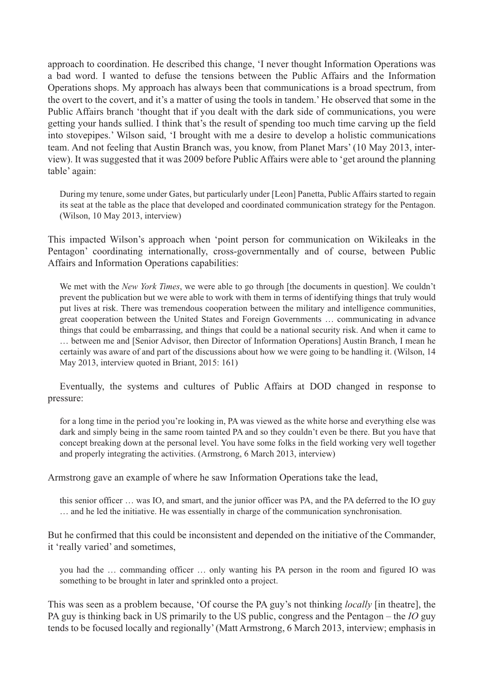approach to coordination. He described this change, 'I never thought Information Operations was a bad word. I wanted to defuse the tensions between the Public Affairs and the Information Operations shops. My approach has always been that communications is a broad spectrum, from the overt to the covert, and it's a matter of using the tools in tandem.' He observed that some in the Public Affairs branch 'thought that if you dealt with the dark side of communications, you were getting your hands sullied. I think that's the result of spending too much time carving up the field into stovepipes.' Wilson said, 'I brought with me a desire to develop a holistic communications team. And not feeling that Austin Branch was, you know, from Planet Mars' (10 May 2013, interview). It was suggested that it was 2009 before Public Affairs were able to 'get around the planning table' again:

During my tenure, some under Gates, but particularly under [Leon] Panetta, Public Affairs started to regain its seat at the table as the place that developed and coordinated communication strategy for the Pentagon. (Wilson, 10 May 2013, interview)

This impacted Wilson's approach when 'point person for communication on Wikileaks in the Pentagon' coordinating internationally, cross-governmentally and of course, between Public Affairs and Information Operations capabilities:

We met with the *New York Times*, we were able to go through [the documents in question]. We couldn't prevent the publication but we were able to work with them in terms of identifying things that truly would put lives at risk. There was tremendous cooperation between the military and intelligence communities, great cooperation between the United States and Foreign Governments … communicating in advance things that could be embarrassing, and things that could be a national security risk. And when it came to … between me and [Senior Advisor, then Director of Information Operations] Austin Branch, I mean he certainly was aware of and part of the discussions about how we were going to be handling it. (Wilson, 14 May 2013, interview quoted in Briant, 2015: 161)

Eventually, the systems and cultures of Public Affairs at DOD changed in response to pressure:

for a long time in the period you're looking in, PA was viewed as the white horse and everything else was dark and simply being in the same room tainted PA and so they couldn't even be there. But you have that concept breaking down at the personal level. You have some folks in the field working very well together and properly integrating the activities. (Armstrong, 6 March 2013, interview)

Armstrong gave an example of where he saw Information Operations take the lead,

this senior officer … was IO, and smart, and the junior officer was PA, and the PA deferred to the IO guy … and he led the initiative. He was essentially in charge of the communication synchronisation.

But he confirmed that this could be inconsistent and depended on the initiative of the Commander, it 'really varied' and sometimes,

you had the … commanding officer … only wanting his PA person in the room and figured IO was something to be brought in later and sprinkled onto a project.

This was seen as a problem because, 'Of course the PA guy's not thinking *locally* [in theatre], the PA guy is thinking back in US primarily to the US public, congress and the Pentagon – the *IO* guy tends to be focused locally and regionally' (Matt Armstrong, 6 March 2013, interview; emphasis in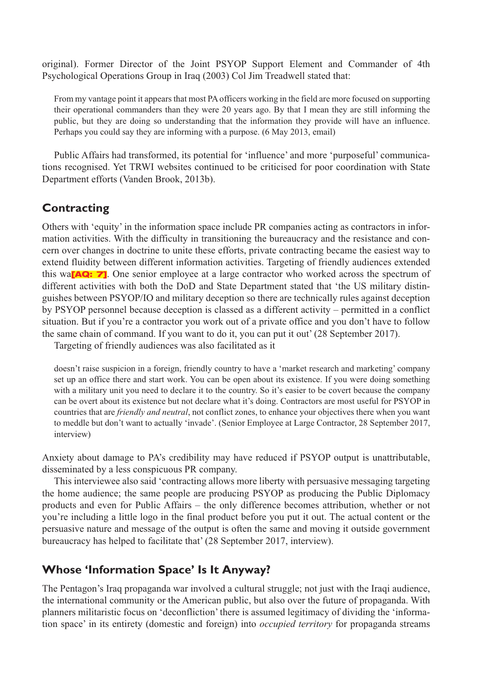original). Former Director of the Joint PSYOP Support Element and Commander of 4th Psychological Operations Group in Iraq (2003) Col Jim Treadwell stated that:

From my vantage point it appears that most PA officers working in the field are more focused on supporting their operational commanders than they were 20 years ago. By that I mean they are still informing the public, but they are doing so understanding that the information they provide will have an influence. Perhaps you could say they are informing with a purpose. (6 May 2013, email)

Public Affairs had transformed, its potential for 'influence' and more 'purposeful' communications recognised. Yet TRWI websites continued to be criticised for poor coordination with State Department efforts (Vanden Brook, 2013b).

## **Contracting**

Others with 'equity' in the information space include PR companies acting as contractors in information activities. With the difficulty in transitioning the bureaucracy and the resistance and concern over changes in doctrine to unite these efforts, private contracting became the easiest way to extend fluidity between different information activities. Targeting of friendly audiences extended this wa<sub>[\[AQ: 7\]](#page--1-5)</sub>. One senior employee at a large contractor who worked across the spectrum of different activities with both the DoD and State Department stated that 'the US military distinguishes between PSYOP/IO and military deception so there are technically rules against deception by PSYOP personnel because deception is classed as a different activity – permitted in a conflict situation. But if you're a contractor you work out of a private office and you don't have to follow the same chain of command. If you want to do it, you can put it out' (28 September 2017).

Targeting of friendly audiences was also facilitated as it

doesn't raise suspicion in a foreign, friendly country to have a 'market research and marketing' company set up an office there and start work. You can be open about its existence. If you were doing something with a military unit you need to declare it to the country. So it's easier to be covert because the company can be overt about its existence but not declare what it's doing. Contractors are most useful for PSYOP in countries that are *friendly and neutral*, not conflict zones, to enhance your objectives there when you want to meddle but don't want to actually 'invade'. (Senior Employee at Large Contractor, 28 September 2017, interview)

Anxiety about damage to PA's credibility may have reduced if PSYOP output is unattributable, disseminated by a less conspicuous PR company.

This interviewee also said 'contracting allows more liberty with persuasive messaging targeting the home audience; the same people are producing PSYOP as producing the Public Diplomacy products and even for Public Affairs – the only difference becomes attribution, whether or not you're including a little logo in the final product before you put it out. The actual content or the persuasive nature and message of the output is often the same and moving it outside government bureaucracy has helped to facilitate that' (28 September 2017, interview).

## **Whose 'Information Space' Is It Anyway?**

The Pentagon's Iraq propaganda war involved a cultural struggle; not just with the Iraqi audience, the international community or the American public, but also over the future of propaganda. With planners militaristic focus on 'deconfliction' there is assumed legitimacy of dividing the 'information space' in its entirety (domestic and foreign) into *occupied territory* for propaganda streams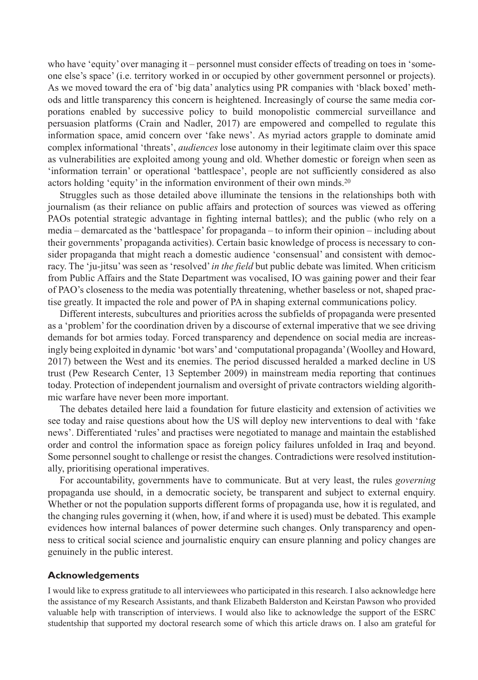who have 'equity' over managing it – personnel must consider effects of treading on toes in 'someone else's space' (i.e. territory worked in or occupied by other government personnel or projects). As we moved toward the era of 'big data' analytics using PR companies with 'black boxed' methods and little transparency this concern is heightened. Increasingly of course the same media corporations enabled by successive policy to build monopolistic commercial surveillance and persuasion platforms (Crain and Nadler, 2017) are empowered and compelled to regulate this information space, amid concern over 'fake news'. As myriad actors grapple to dominate amid complex informational 'threats', *audiences* lose autonomy in their legitimate claim over this space as vulnerabilities are exploited among young and old. Whether domestic or foreign when seen as 'information terrain' or operational 'battlespace', people are not sufficiently considered as also actors holding 'equity' in the information environment of their own minds.20

Struggles such as those detailed above illuminate the tensions in the relationships both with journalism (as their reliance on public affairs and protection of sources was viewed as offering PAOs potential strategic advantage in fighting internal battles); and the public (who rely on a media – demarcated as the 'battlespace' for propaganda – to inform their opinion – including about their governments' propaganda activities). Certain basic knowledge of process is necessary to consider propaganda that might reach a domestic audience 'consensual' and consistent with democracy. The 'ju-jitsu' was seen as 'resolved' *in the field* but public debate was limited. When criticism from Public Affairs and the State Department was vocalised, IO was gaining power and their fear of PAO's closeness to the media was potentially threatening, whether baseless or not, shaped practise greatly. It impacted the role and power of PA in shaping external communications policy.

Different interests, subcultures and priorities across the subfields of propaganda were presented as a 'problem' for the coordination driven by a discourse of external imperative that we see driving demands for bot armies today. Forced transparency and dependence on social media are increasingly being exploited in dynamic 'bot wars' and 'computational propaganda' (Woolley and Howard, 2017) between the West and its enemies. The period discussed heralded a marked decline in US trust (Pew Research Center, 13 September 2009) in mainstream media reporting that continues today. Protection of independent journalism and oversight of private contractors wielding algorithmic warfare have never been more important.

The debates detailed here laid a foundation for future elasticity and extension of activities we see today and raise questions about how the US will deploy new interventions to deal with 'fake news'. Differentiated 'rules' and practises were negotiated to manage and maintain the established order and control the information space as foreign policy failures unfolded in Iraq and beyond. Some personnel sought to challenge or resist the changes. Contradictions were resolved institutionally, prioritising operational imperatives.

For accountability, governments have to communicate. But at very least, the rules *governing* propaganda use should, in a democratic society, be transparent and subject to external enquiry. Whether or not the population supports different forms of propaganda use, how it is regulated, and the changing rules governing it (when, how, if and where it is used) must be debated. This example evidences how internal balances of power determine such changes. Only transparency and openness to critical social science and journalistic enquiry can ensure planning and policy changes are genuinely in the public interest.

#### **Acknowledgements**

I would like to express gratitude to all interviewees who participated in this research. I also acknowledge here the assistance of my Research Assistants, and thank Elizabeth Balderston and Keirstan Pawson who provided valuable help with transcription of interviews. I would also like to acknowledge the support of the ESRC studentship that supported my doctoral research some of which this article draws on. I also am grateful for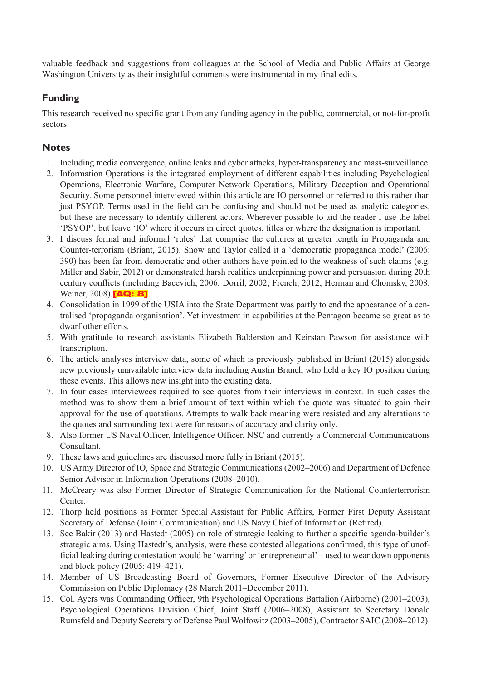valuable feedback and suggestions from colleagues at the School of Media and Public Affairs at George Washington University as their insightful comments were instrumental in my final edits.

#### **Funding**

This research received no specific grant from any funding agency in the public, commercial, or not-for-profit sectors.

#### **Notes**

- 1. Including media convergence, online leaks and cyber attacks, hyper-transparency and mass-surveillance.
- 2. Information Operations is the integrated employment of different capabilities including Psychological Operations, Electronic Warfare, Computer Network Operations, Military Deception and Operational Security. Some personnel interviewed within this article are IO personnel or referred to this rather than just PSYOP. Terms used in the field can be confusing and should not be used as analytic categories, but these are necessary to identify different actors. Wherever possible to aid the reader I use the label 'PSYOP', but leave 'IO' where it occurs in direct quotes, titles or where the designation is important.
- 3. I discuss formal and informal 'rules' that comprise the cultures at greater length in Propaganda and Counter-terrorism (Briant, 2015). Snow and Taylor called it a 'democratic propaganda model' (2006: 390) has been far from democratic and other authors have pointed to the weakness of such claims (e.g. Miller and Sabir, 2012) or demonstrated harsh realities underpinning power and persuasion during 20th century conflicts (including Bacevich, 2006; Dorril, 2002; French, 2012; Herman and Chomsky, 2008; Weiner, 2008).**[\[AQ: 8\]](#page--1-6)**
- 4. Consolidation in 1999 of the USIA into the State Department was partly to end the appearance of a centralised 'propaganda organisation'. Yet investment in capabilities at the Pentagon became so great as to dwarf other efforts.
- 5. With gratitude to research assistants Elizabeth Balderston and Keirstan Pawson for assistance with transcription.
- 6. The article analyses interview data, some of which is previously published in Briant (2015) alongside new previously unavailable interview data including Austin Branch who held a key IO position during these events. This allows new insight into the existing data.
- 7. In four cases interviewees required to see quotes from their interviews in context. In such cases the method was to show them a brief amount of text within which the quote was situated to gain their approval for the use of quotations. Attempts to walk back meaning were resisted and any alterations to the quotes and surrounding text were for reasons of accuracy and clarity only.
- 8. Also former US Naval Officer, Intelligence Officer, NSC and currently a Commercial Communications Consultant.
- 9. These laws and guidelines are discussed more fully in Briant (2015).
- 10. US Army Director of IO, Space and Strategic Communications (2002–2006) and Department of Defence Senior Advisor in Information Operations (2008–2010).
- 11. McCreary was also Former Director of Strategic Communication for the National Counterterrorism Center.
- 12. Thorp held positions as Former Special Assistant for Public Affairs, Former First Deputy Assistant Secretary of Defense (Joint Communication) and US Navy Chief of Information (Retired).
- 13. See Bakir (2013) and Hastedt (2005) on role of strategic leaking to further a specific agenda-builder's strategic aims. Using Hastedt's, analysis, were these contested allegations confirmed, this type of unofficial leaking during contestation would be 'warring' or 'entrepreneurial' – used to wear down opponents and block policy (2005: 419–421).
- 14. Member of US Broadcasting Board of Governors, Former Executive Director of the Advisory Commission on Public Diplomacy (28 March 2011–December 2011).
- 15. Col. Ayers was Commanding Officer, 9th Psychological Operations Battalion (Airborne) (2001–2003), Psychological Operations Division Chief, Joint Staff (2006–2008), Assistant to Secretary Donald Rumsfeld and Deputy Secretary of Defense Paul Wolfowitz (2003–2005), Contractor SAIC (2008–2012).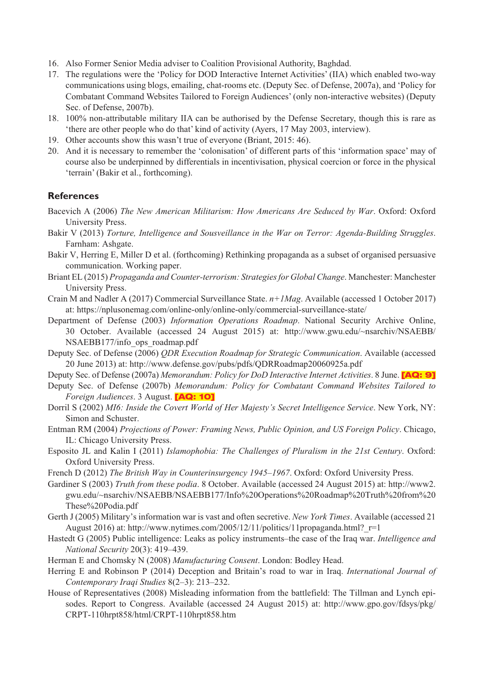- 16. Also Former Senior Media adviser to Coalition Provisional Authority, Baghdad.
- 17. The regulations were the 'Policy for DOD Interactive Internet Activities' (IIA) which enabled two-way communications using blogs, emailing, chat-rooms etc. (Deputy Sec. of Defense, 2007a), and 'Policy for Combatant Command Websites Tailored to Foreign Audiences' (only non-interactive websites) (Deputy Sec. of Defense, 2007b).
- 18. 100% non-attributable military IIA can be authorised by the Defense Secretary, though this is rare as 'there are other people who do that' kind of activity (Ayers, 17 May 2003, interview).
- 19. Other accounts show this wasn't true of everyone (Briant, 2015: 46).
- 20. And it is necessary to remember the 'colonisation' of different parts of this 'information space' may of course also be underpinned by differentials in incentivisation, physical coercion or force in the physical 'terrain' (Bakir et al., forthcoming).

#### **References**

- Bacevich A (2006) *The New American Militarism: How Americans Are Seduced by War*. Oxford: Oxford University Press.
- Bakir V (2013) *Torture, Intelligence and Sousveillance in the War on Terror: Agenda-Building Struggles*. Farnham: Ashgate.
- Bakir V, Herring E, Miller D et al. (forthcoming) Rethinking propaganda as a subset of organised persuasive communication. Working paper.
- Briant EL (2015) *Propaganda and Counter-terrorism: Strategies for Global Change*. Manchester: Manchester University Press.
- Crain M and Nadler A (2017) Commercial Surveillance State. *n+1Mag*. Available (accessed 1 October 2017) at:<https://nplusonemag.com/online-only/online-only/commercial-surveillance-state/>
- Department of Defense (2003) *Information Operations Roadmap*. National Security Archive Online, 30 October. Available (accessed 24 August 2015) at: [http://www.gwu.edu/~nsarchiv/NSAEBB/](http://www.gwu.edu/~nsarchiv/NSAEBB/NSAEBB177/info_ops_roadmap.pdf) [NSAEBB177/info\\_ops\\_roadmap.pdf](http://www.gwu.edu/~nsarchiv/NSAEBB/NSAEBB177/info_ops_roadmap.pdf)
- Deputy Sec. of Defense (2006) *QDR Execution Roadmap for Strategic Communication*. Available (accessed 20 June 2013) at: <http://www.defense.gov/pubs/pdfs/QDRRoadmap20060925a.pdf>
- Deputy Sec. of Defense (2007a) *Memorandum: Policy for DoD Interactive Internet Activities*. 8 June. [\[AQ: 9\]](#page--1-7)
- Deputy Sec. of Defense (2007b) *Memorandum: Policy for Combatant Command Websites Tailored to Foreign Audiences.* 3 August. [\[AQ: 10\]](#page--1-8)
- Dorril S (2002) *MI6: Inside the Covert World of Her Majesty's Secret Intelligence Service*. New York, NY: Simon and Schuster.
- Entman RM (2004) *Projections of Power: Framing News, Public Opinion, and US Foreign Policy*. Chicago, IL: Chicago University Press.
- Esposito JL and Kalin I (2011) *Islamophobia: The Challenges of Pluralism in the 21st Century*. Oxford: Oxford University Press.
- French D (2012) *The British Way in Counterinsurgency 1945–1967*. Oxford: Oxford University Press.
- Gardiner S (2003) *Truth from these podia*. 8 October. Available (accessed 24 August 2015) at: [http://www2.](http://www2.gwu.edu/~nsarchiv/NSAEBB/NSAEBB177/Info%20Operations%20Roadmap%20Truth%20from%20These%20Podia.pdf) [gwu.edu/~nsarchiv/NSAEBB/NSAEBB177/Info%20Operations%20Roadmap%20Truth%20from%20](http://www2.gwu.edu/~nsarchiv/NSAEBB/NSAEBB177/Info%20Operations%20Roadmap%20Truth%20from%20These%20Podia.pdf) [These%20Podia.pdf](http://www2.gwu.edu/~nsarchiv/NSAEBB/NSAEBB177/Info%20Operations%20Roadmap%20Truth%20from%20These%20Podia.pdf)
- Gerth J (2005) Military's information war is vast and often secretive. *New York Times*. Available (accessed 21 August 2016) at: http://www.nytimes.com/2005/12/11/politics/11propaganda.html?  $r=1$
- Hastedt G (2005) Public intelligence: Leaks as policy instruments–the case of the Iraq war. *Intelligence and National Security* 20(3): 419–439.
- Herman E and Chomsky N (2008) *Manufacturing Consent*. London: Bodley Head.
- Herring E and Robinson P (2014) Deception and Britain's road to war in Iraq. *International Journal of Contemporary Iraqi Studies* 8(2–3): 213–232.
- House of Representatives (2008) Misleading information from the battlefield: The Tillman and Lynch episodes. Report to Congress. Available (accessed 24 August 2015) at: [http://www.gpo.gov/fdsys/pkg/](http://www.gpo.gov/fdsys/pkg/CRPT-110hrpt858/html/CRPT-110hrpt858.htm) [CRPT-110hrpt858/html/CRPT-110hrpt858.htm](http://www.gpo.gov/fdsys/pkg/CRPT-110hrpt858/html/CRPT-110hrpt858.htm)